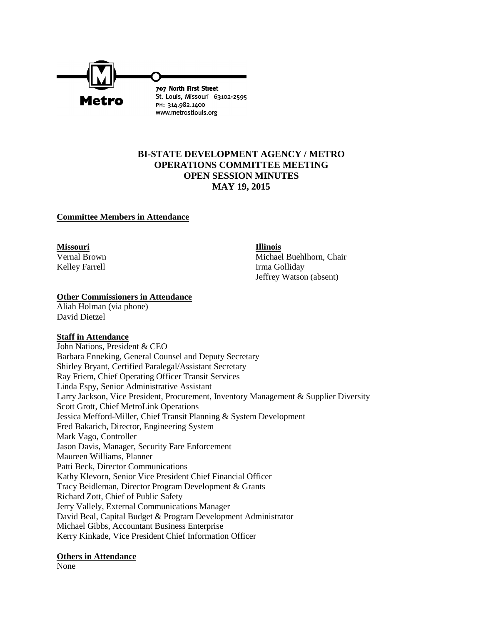

## **BI-STATE DEVELOPMENT AGENCY / METRO OPERATIONS COMMITTEE MEETING OPEN SESSION MINUTES MAY 19, 2015**

#### **Committee Members in Attendance**

**Missouri Illinois**

Vernal Brown Michael Buehlhorn, Chair Kelley Farrell Irma Golliday Jeffrey Watson (absent)

#### **Other Commissioners in Attendance**

Aliah Holman (via phone) David Dietzel

## **Staff in Attendance**

John Nations, President & CEO Barbara Enneking, General Counsel and Deputy Secretary Shirley Bryant, Certified Paralegal/Assistant Secretary Ray Friem, Chief Operating Officer Transit Services Linda Espy, Senior Administrative Assistant Larry Jackson, Vice President, Procurement, Inventory Management & Supplier Diversity Scott Grott, Chief MetroLink Operations Jessica Mefford-Miller, Chief Transit Planning & System Development Fred Bakarich, Director, Engineering System Mark Vago, Controller Jason Davis, Manager, Security Fare Enforcement Maureen Williams, Planner Patti Beck, Director Communications Kathy Klevorn, Senior Vice President Chief Financial Officer Tracy Beidleman, Director Program Development & Grants Richard Zott, Chief of Public Safety Jerry Vallely, External Communications Manager David Beal, Capital Budget & Program Development Administrator Michael Gibbs, Accountant Business Enterprise Kerry Kinkade, Vice President Chief Information Officer

#### **Others in Attendance**

None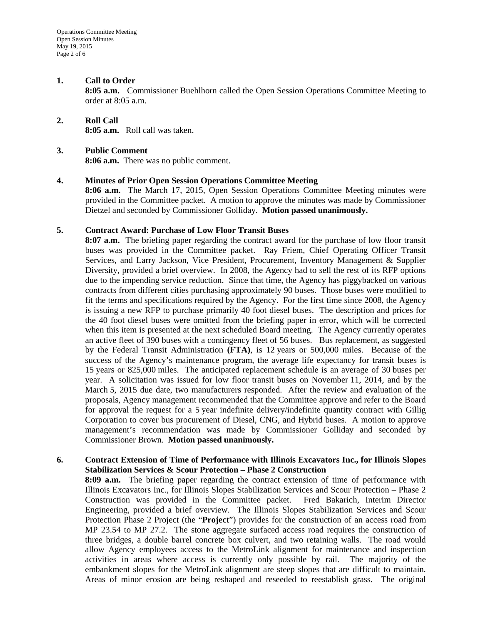#### **1. Call to Order**

**8:05 a.m.** Commissioner Buehlhorn called the Open Session Operations Committee Meeting to order at 8:05 a.m.

# **2. Roll Call**

**8:05 a.m.** Roll call was taken.

## **3. Public Comment**

**8:06 a.m.** There was no public comment.

## **4. Minutes of Prior Open Session Operations Committee Meeting**

**8:06 a.m.** The March 17, 2015, Open Session Operations Committee Meeting minutes were provided in the Committee packet. A motion to approve the minutes was made by Commissioner Dietzel and seconded by Commissioner Golliday. **Motion passed unanimously.**

#### **5. Contract Award: Purchase of Low Floor Transit Buses**

**8:07 a.m.** The briefing paper regarding the contract award for the purchase of low floor transit buses was provided in the Committee packet. Ray Friem, Chief Operating Officer Transit Services, and Larry Jackson, Vice President, Procurement, Inventory Management & Supplier Diversity, provided a brief overview. In 2008, the Agency had to sell the rest of its RFP options due to the impending service reduction. Since that time, the Agency has piggybacked on various contracts from different cities purchasing approximately 90 buses. Those buses were modified to fit the terms and specifications required by the Agency. For the first time since 2008, the Agency is issuing a new RFP to purchase primarily 40 foot diesel buses. The description and prices for the 40 foot diesel buses were omitted from the briefing paper in error, which will be corrected when this item is presented at the next scheduled Board meeting. The Agency currently operates an active fleet of 390 buses with a contingency fleet of 56 buses. Bus replacement, as suggested by the Federal Transit Administration **(FTA)**, is 12 years or 500,000 miles. Because of the success of the Agency's maintenance program, the average life expectancy for transit buses is 15 years or 825,000 miles. The anticipated replacement schedule is an average of 30 buses per year. A solicitation was issued for low floor transit buses on November 11, 2014, and by the March 5, 2015 due date, two manufacturers responded. After the review and evaluation of the proposals, Agency management recommended that the Committee approve and refer to the Board for approval the request for a 5 year indefinite delivery/indefinite quantity contract with Gillig Corporation to cover bus procurement of Diesel, CNG, and Hybrid buses. A motion to approve management's recommendation was made by Commissioner Golliday and seconded by Commissioner Brown. **Motion passed unanimously.**

## **6. Contract Extension of Time of Performance with Illinois Excavators Inc., for Illinois Slopes Stabilization Services & Scour Protection – Phase 2 Construction**

**8:09 a.m.** The briefing paper regarding the contract extension of time of performance with Illinois Excavators Inc., for Illinois Slopes Stabilization Services and Scour Protection – Phase 2 Construction was provided in the Committee packet. Fred Bakarich, Interim Director Engineering, provided a brief overview. The Illinois Slopes Stabilization Services and Scour Protection Phase 2 Project (the "**Project**") provides for the construction of an access road from MP 23.54 to MP 27.2. The stone aggregate surfaced access road requires the construction of three bridges, a double barrel concrete box culvert, and two retaining walls. The road would allow Agency employees access to the MetroLink alignment for maintenance and inspection activities in areas where access is currently only possible by rail. The majority of the embankment slopes for the MetroLink alignment are steep slopes that are difficult to maintain. Areas of minor erosion are being reshaped and reseeded to reestablish grass. The original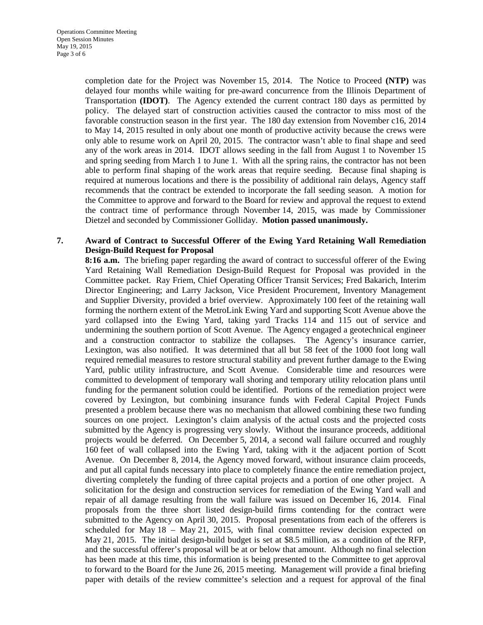completion date for the Project was November 15, 2014. The Notice to Proceed **(NTP)** was delayed four months while waiting for pre-award concurrence from the Illinois Department of Transportation **(IDOT)**. The Agency extended the current contract 180 days as permitted by policy. The delayed start of construction activities caused the contractor to miss most of the favorable construction season in the first year. The 180 day extension from November c16, 2014 to May 14, 2015 resulted in only about one month of productive activity because the crews were only able to resume work on April 20, 2015. The contractor wasn't able to final shape and seed any of the work areas in 2014. IDOT allows seeding in the fall from August 1 to November 15 and spring seeding from March 1 to June 1. With all the spring rains, the contractor has not been able to perform final shaping of the work areas that require seeding. Because final shaping is required at numerous locations and there is the possibility of additional rain delays, Agency staff recommends that the contract be extended to incorporate the fall seeding season. A motion for the Committee to approve and forward to the Board for review and approval the request to extend the contract time of performance through November 14, 2015, was made by Commissioner Dietzel and seconded by Commissioner Golliday. **Motion passed unanimously.**

## **7. Award of Contract to Successful Offerer of the Ewing Yard Retaining Wall Remediation Design-Build Request for Proposal**

**8:16 a.m.** The briefing paper regarding the award of contract to successful offerer of the Ewing Yard Retaining Wall Remediation Design-Build Request for Proposal was provided in the Committee packet. Ray Friem, Chief Operating Officer Transit Services; Fred Bakarich, Interim Director Engineering; and Larry Jackson, Vice President Procurement, Inventory Management and Supplier Diversity, provided a brief overview. Approximately 100 feet of the retaining wall forming the northern extent of the MetroLink Ewing Yard and supporting Scott Avenue above the yard collapsed into the Ewing Yard, taking yard Tracks 114 and 115 out of service and undermining the southern portion of Scott Avenue. The Agency engaged a geotechnical engineer and a construction contractor to stabilize the collapses. The Agency's insurance carrier, Lexington, was also notified. It was determined that all but 58 feet of the 1000 foot long wall required remedial measures to restore structural stability and prevent further damage to the Ewing Yard, public utility infrastructure, and Scott Avenue. Considerable time and resources were committed to development of temporary wall shoring and temporary utility relocation plans until funding for the permanent solution could be identified. Portions of the remediation project were covered by Lexington, but combining insurance funds with Federal Capital Project Funds presented a problem because there was no mechanism that allowed combining these two funding sources on one project. Lexington's claim analysis of the actual costs and the projected costs submitted by the Agency is progressing very slowly. Without the insurance proceeds, additional projects would be deferred. On December 5, 2014, a second wall failure occurred and roughly 160 feet of wall collapsed into the Ewing Yard, taking with it the adjacent portion of Scott Avenue. On December 8, 2014, the Agency moved forward, without insurance claim proceeds, and put all capital funds necessary into place to completely finance the entire remediation project, diverting completely the funding of three capital projects and a portion of one other project. A solicitation for the design and construction services for remediation of the Ewing Yard wall and repair of all damage resulting from the wall failure was issued on December 16, 2014. Final proposals from the three short listed design-build firms contending for the contract were submitted to the Agency on April 30, 2015. Proposal presentations from each of the offerers is scheduled for May 18 – May 21, 2015, with final committee review decision expected on May 21, 2015. The initial design-build budget is set at \$8.5 million, as a condition of the RFP, and the successful offerer's proposal will be at or below that amount. Although no final selection has been made at this time, this information is being presented to the Committee to get approval to forward to the Board for the June 26, 2015 meeting. Management will provide a final briefing paper with details of the review committee's selection and a request for approval of the final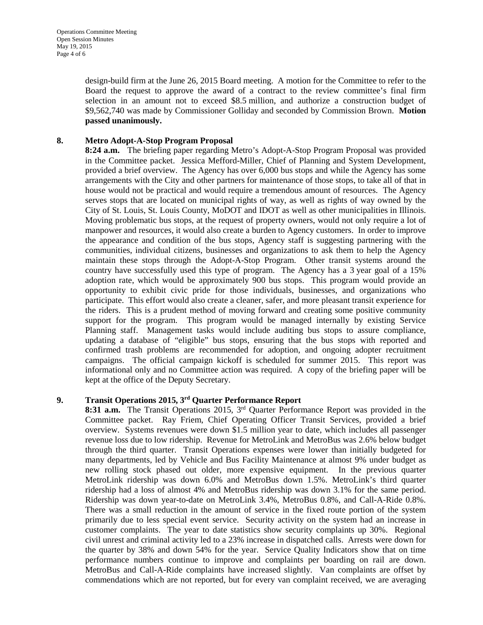design-build firm at the June 26, 2015 Board meeting. A motion for the Committee to refer to the Board the request to approve the award of a contract to the review committee's final firm selection in an amount not to exceed \$8.5 million, and authorize a construction budget of \$9,562,740 was made by Commissioner Golliday and seconded by Commission Brown. **Motion passed unanimously.**

## **8. Metro Adopt-A-Stop Program Proposal**

**8:24 a.m.** The briefing paper regarding Metro's Adopt-A-Stop Program Proposal was provided in the Committee packet. Jessica Mefford-Miller, Chief of Planning and System Development, provided a brief overview. The Agency has over 6,000 bus stops and while the Agency has some arrangements with the City and other partners for maintenance of those stops, to take all of that in house would not be practical and would require a tremendous amount of resources. The Agency serves stops that are located on municipal rights of way, as well as rights of way owned by the City of St. Louis, St. Louis County, MoDOT and IDOT as well as other municipalities in Illinois. Moving problematic bus stops, at the request of property owners, would not only require a lot of manpower and resources, it would also create a burden to Agency customers. In order to improve the appearance and condition of the bus stops, Agency staff is suggesting partnering with the communities, individual citizens, businesses and organizations to ask them to help the Agency maintain these stops through the Adopt-A-Stop Program. Other transit systems around the country have successfully used this type of program. The Agency has a 3 year goal of a 15% adoption rate, which would be approximately 900 bus stops. This program would provide an opportunity to exhibit civic pride for those individuals, businesses, and organizations who participate. This effort would also create a cleaner, safer, and more pleasant transit experience for the riders. This is a prudent method of moving forward and creating some positive community support for the program. This program would be managed internally by existing Service Planning staff. Management tasks would include auditing bus stops to assure compliance, updating a database of "eligible" bus stops, ensuring that the bus stops with reported and confirmed trash problems are recommended for adoption, and ongoing adopter recruitment campaigns. The official campaign kickoff is scheduled for summer 2015. This report was informational only and no Committee action was required. A copy of the briefing paper will be kept at the office of the Deputy Secretary.

## **9. Transit Operations 2015, 3rd Quarter Performance Report**

**8:31 a.m.** The Transit Operations 2015, 3rd Quarter Performance Report was provided in the Committee packet. Ray Friem, Chief Operating Officer Transit Services, provided a brief overview. Systems revenues were down \$1.5 million year to date, which includes all passenger revenue loss due to low ridership. Revenue for MetroLink and MetroBus was 2.6% below budget through the third quarter. Transit Operations expenses were lower than initially budgeted for many departments, led by Vehicle and Bus Facility Maintenance at almost 9% under budget as new rolling stock phased out older, more expensive equipment. In the previous quarter MetroLink ridership was down 6.0% and MetroBus down 1.5%. MetroLink's third quarter ridership had a loss of almost 4% and MetroBus ridership was down 3.1% for the same period. Ridership was down year-to-date on MetroLink 3.4%, MetroBus 0.8%, and Call-A-Ride 0.8%. There was a small reduction in the amount of service in the fixed route portion of the system primarily due to less special event service. Security activity on the system had an increase in customer complaints. The year to date statistics show security complaints up 30%. Regional civil unrest and criminal activity led to a 23% increase in dispatched calls. Arrests were down for the quarter by 38% and down 54% for the year. Service Quality Indicators show that on time performance numbers continue to improve and complaints per boarding on rail are down. MetroBus and Call-A-Ride complaints have increased slightly. Van complaints are offset by commendations which are not reported, but for every van complaint received, we are averaging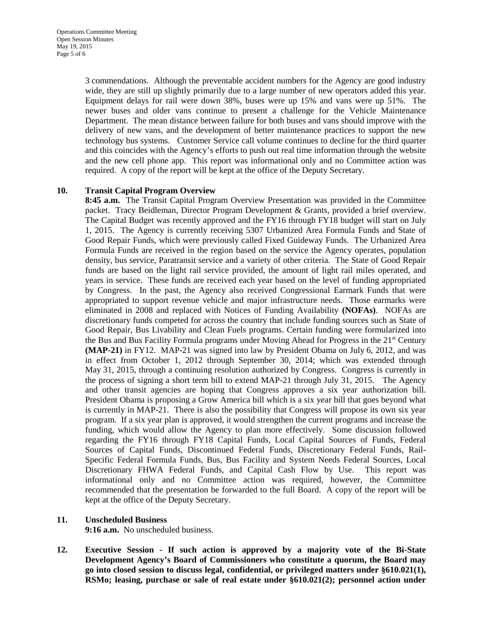3 commendations. Although the preventable accident numbers for the Agency are good industry wide, they are still up slightly primarily due to a large number of new operators added this year. Equipment delays for rail were down 38%, buses were up 15% and vans were up 51%. The newer buses and older vans continue to present a challenge for the Vehicle Maintenance Department. The mean distance between failure for both buses and vans should improve with the delivery of new vans, and the development of better maintenance practices to support the new technology bus systems. Customer Service call volume continues to decline for the third quarter and this coincides with the Agency's efforts to push out real time information through the website and the new cell phone app. This report was informational only and no Committee action was required. A copy of the report will be kept at the office of the Deputy Secretary.

## **10. Transit Capital Program Overview**

**8:45 a.m.** The Transit Capital Program Overview Presentation was provided in the Committee packet. Tracy Beidleman, Director Program Development & Grants, provided a brief overview. The Capital Budget was recently approved and the FY16 through FY18 budget will start on July 1, 2015. The Agency is currently receiving 5307 Urbanized Area Formula Funds and State of Good Repair Funds, which were previously called Fixed Guideway Funds. The Urbanized Area Formula Funds are received in the region based on the service the Agency operates, population density, bus service, Paratransit service and a variety of other criteria. The State of Good Repair funds are based on the light rail service provided, the amount of light rail miles operated, and years in service. These funds are received each year based on the level of funding appropriated by Congress. In the past, the Agency also received Congressional Earmark Funds that were appropriated to support revenue vehicle and major infrastructure needs. Those earmarks were eliminated in 2008 and replaced with Notices of Funding Availability **(NOFAs)**. NOFAs are discretionary funds competed for across the country that include funding sources such as State of Good Repair, Bus Livability and Clean Fuels programs. Certain funding were formularized into the Bus and Bus Facility Formula programs under Moving Ahead for Progress in the 21<sup>st</sup> Century **(MAP-21)** in FY12. MAP-21 was signed into law by President Obama on July 6, 2012, and was in effect from October 1, 2012 through September 30, 2014; which was extended through May 31, 2015, through a continuing resolution authorized by Congress. Congress is currently in the process of signing a short term bill to extend MAP-21 through July 31, 2015. The Agency and other transit agencies are hoping that Congress approves a six year authorization bill. President Obama is proposing a Grow America bill which is a six year bill that goes beyond what is currently in MAP-21. There is also the possibility that Congress will propose its own six year program. If a six year plan is approved, it would strengthen the current programs and increase the funding, which would allow the Agency to plan more effectively. Some discussion followed regarding the FY16 through FY18 Capital Funds, Local Capital Sources of Funds, Federal Sources of Capital Funds, Discontinued Federal Funds, Discretionary Federal Funds, Rail-Specific Federal Formula Funds, Bus, Bus Facility and System Needs Federal Sources, Local Discretionary FHWA Federal Funds, and Capital Cash Flow by Use. This report was informational only and no Committee action was required, however, the Committee recommended that the presentation be forwarded to the full Board. A copy of the report will be kept at the office of the Deputy Secretary.

## **11. Unscheduled Business**

**9:16 a.m.** No unscheduled business.

**12. Executive Session - If such action is approved by a majority vote of the Bi-State Development Agency's Board of Commissioners who constitute a quorum, the Board may go into closed session to discuss legal, confidential, or privileged matters under §610.021(1), RSMo; leasing, purchase or sale of real estate under §610.021(2); personnel action under**